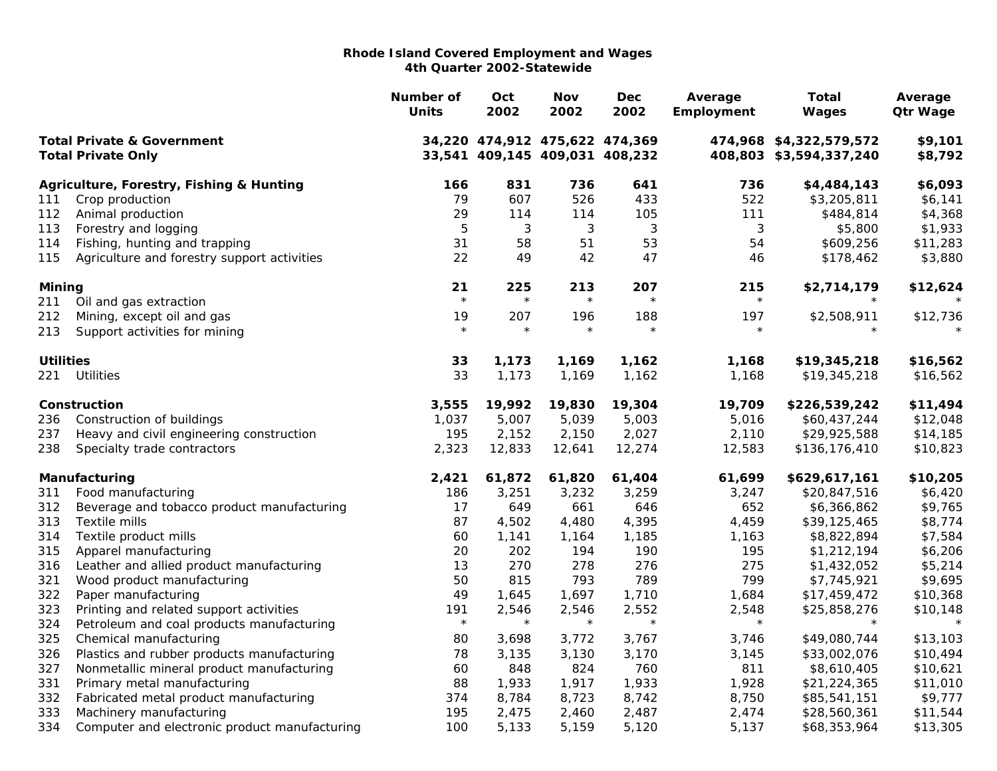|                                                                    |                                               | Number of<br><b>Units</b> | Oct<br>2002                                                      | <b>Nov</b><br>2002 | Dec<br>2002  | Average<br>Employment | <b>Total</b><br>Wages                              | Average<br><b>Qtr Wage</b> |
|--------------------------------------------------------------------|-----------------------------------------------|---------------------------|------------------------------------------------------------------|--------------------|--------------|-----------------------|----------------------------------------------------|----------------------------|
| <b>Total Private &amp; Government</b><br><b>Total Private Only</b> |                                               |                           | 34,220 474,912 475,622 474,369<br>33,541 409,145 409,031 408,232 |                    |              |                       | 474,968 \$4,322,579,572<br>408,803 \$3,594,337,240 | \$9,101<br>\$8,792         |
|                                                                    | Agriculture, Forestry, Fishing & Hunting      | 166                       | 831                                                              | 736                | 641          | 736                   | \$4,484,143                                        | \$6,093                    |
| 111                                                                | Crop production                               | 79                        | 607                                                              | 526                | 433          | 522                   | \$3,205,811                                        | \$6,141                    |
| 112                                                                | Animal production                             | 29                        | 114                                                              | 114                | 105          | 111                   | \$484,814                                          | \$4,368                    |
| 113                                                                | Forestry and logging                          | 5                         | 3                                                                | $\sqrt{3}$         | $\mathbf{3}$ | 3                     | \$5,800                                            | \$1,933                    |
| 114                                                                | Fishing, hunting and trapping                 | 31                        | 58                                                               | 51                 | 53           | 54                    | \$609,256                                          | \$11,283                   |
| 115                                                                | Agriculture and forestry support activities   | 22                        | 49                                                               | 42                 | 47           | 46                    | \$178,462                                          | \$3,880                    |
| <b>Mining</b>                                                      |                                               | 21                        | 225                                                              | 213                | 207          | 215                   | \$2,714,179                                        | \$12,624                   |
| 211                                                                | Oil and gas extraction                        | $\star$                   | $\star$                                                          | $\star$            | $\star$      | $\star$               | $\star$                                            |                            |
| 212                                                                | Mining, except oil and gas                    | 19                        | 207                                                              | 196                | 188          | 197                   | \$2,508,911                                        | \$12,736                   |
| 213                                                                | Support activities for mining                 | $\star$                   | $\star$                                                          | $\star$            | $\star$      | $\star$               | $\star$                                            | $\star$                    |
| <b>Utilities</b>                                                   |                                               | 33                        | 1,173                                                            | 1,169              | 1,162        | 1,168                 | \$19,345,218                                       | \$16,562                   |
| 221                                                                | <b>Utilities</b>                              | 33                        | 1,173                                                            | 1,169              | 1,162        | 1,168                 | \$19,345,218                                       | \$16,562                   |
|                                                                    | Construction                                  | 3,555                     | 19,992                                                           | 19,830             | 19,304       | 19,709                | \$226,539,242                                      | \$11,494                   |
| 236                                                                | Construction of buildings                     | 1,037                     | 5,007                                                            | 5,039              | 5,003        | 5,016                 | \$60,437,244                                       | \$12,048                   |
| 237                                                                | Heavy and civil engineering construction      | 195                       | 2,152                                                            | 2,150              | 2,027        | 2,110                 | \$29,925,588                                       | \$14,185                   |
| 238                                                                | Specialty trade contractors                   | 2,323                     | 12,833                                                           | 12,641             | 12,274       | 12,583                | \$136,176,410                                      | \$10,823                   |
|                                                                    | Manufacturing                                 | 2,421                     | 61,872                                                           | 61,820             | 61,404       | 61,699                | \$629,617,161                                      | \$10,205                   |
| 311                                                                | Food manufacturing                            | 186                       | 3,251                                                            | 3,232              | 3,259        | 3,247                 | \$20,847,516                                       | \$6,420                    |
| 312                                                                | Beverage and tobacco product manufacturing    | 17                        | 649                                                              | 661                | 646          | 652                   | \$6,366,862                                        | \$9,765                    |
| 313                                                                | Textile mills                                 | 87                        | 4,502                                                            | 4,480              | 4,395        | 4,459                 | \$39,125,465                                       | \$8,774                    |
| 314                                                                | Textile product mills                         | 60                        | 1,141                                                            | 1,164              | 1,185        | 1,163                 | \$8,822,894                                        | \$7,584                    |
| 315                                                                | Apparel manufacturing                         | 20                        | 202                                                              | 194                | 190          | 195                   | \$1,212,194                                        | \$6,206                    |
| 316                                                                | Leather and allied product manufacturing      | 13                        | 270                                                              | 278                | 276          | 275                   | \$1,432,052                                        | \$5,214                    |
| 321                                                                | Wood product manufacturing                    | 50                        | 815                                                              | 793                | 789          | 799                   | \$7,745,921                                        | \$9,695                    |
| 322                                                                | Paper manufacturing                           | 49                        | 1,645                                                            | 1,697              | 1,710        | 1,684                 | \$17,459,472                                       | \$10,368                   |
| 323                                                                | Printing and related support activities       | 191                       | 2,546                                                            | 2,546              | 2,552        | 2,548                 | \$25,858,276                                       | \$10,148                   |
| 324                                                                | Petroleum and coal products manufacturing     | $\star$                   | $\star$                                                          | $\star$            | $\star$      | $\star$               | $\star$                                            | $\star$                    |
| 325                                                                | Chemical manufacturing                        | 80                        | 3,698                                                            | 3,772              | 3,767        | 3,746                 | \$49,080,744                                       | \$13,103                   |
| 326                                                                | Plastics and rubber products manufacturing    | 78                        | 3,135                                                            | 3,130              | 3,170        | 3,145                 | \$33,002,076                                       | \$10,494                   |
| 327                                                                | Nonmetallic mineral product manufacturing     | 60                        | 848                                                              | 824                | 760          | 811                   | \$8,610,405                                        | \$10,621                   |
| 331                                                                | Primary metal manufacturing                   | 88                        | 1,933                                                            | 1,917              | 1,933        | 1,928                 | \$21,224,365                                       | \$11,010                   |
| 332                                                                | Fabricated metal product manufacturing        | 374                       | 8,784                                                            | 8,723              | 8,742        | 8,750                 | \$85,541,151                                       | \$9,777                    |
| 333                                                                | Machinery manufacturing                       | 195                       | 2,475                                                            | 2,460              | 2,487        | 2,474                 | \$28,560,361                                       | \$11,544                   |
| 334                                                                | Computer and electronic product manufacturing | 100                       | 5,133                                                            | 5,159              | 5,120        | 5,137                 | \$68,353,964                                       | \$13,305                   |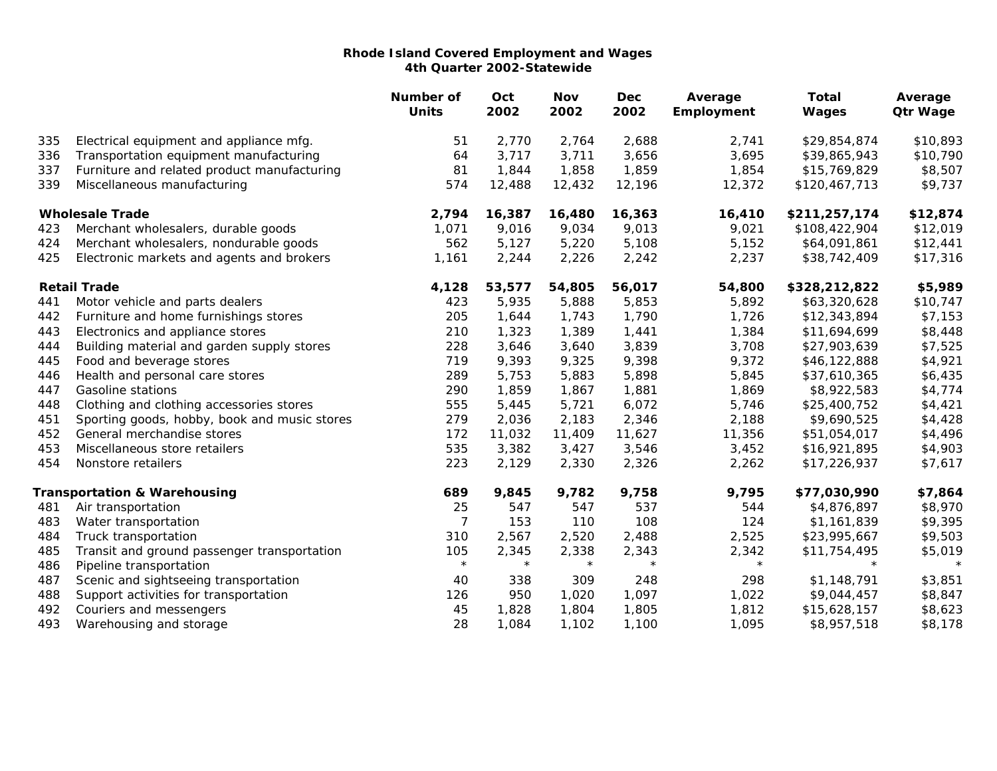|                        |                                              | Number of<br><b>Units</b> | Oct<br>2002 | Nov<br>2002 | <b>Dec</b><br>2002 | Average<br>Employment | <b>Total</b><br>Wages | Average<br><b>Qtr Wage</b> |
|------------------------|----------------------------------------------|---------------------------|-------------|-------------|--------------------|-----------------------|-----------------------|----------------------------|
| 335                    | Electrical equipment and appliance mfg.      | 51                        | 2,770       | 2,764       | 2,688              | 2,741                 | \$29,854,874          | \$10,893                   |
| 336                    | Transportation equipment manufacturing       | 64                        | 3,717       | 3,711       | 3,656              | 3,695                 | \$39,865,943          | \$10,790                   |
| 337                    | Furniture and related product manufacturing  | 81                        | 1,844       | 1,858       | 1,859              | 1,854                 | \$15,769,829          | \$8,507                    |
| 339                    | Miscellaneous manufacturing                  | 574                       | 12,488      | 12,432      | 12,196             | 12,372                | \$120,467,713         | \$9,737                    |
| <b>Wholesale Trade</b> |                                              | 2,794                     | 16,387      | 16,480      | 16,363             | 16,410                | \$211,257,174         | \$12,874                   |
| 423                    | Merchant wholesalers, durable goods          | 1,071                     | 9,016       | 9,034       | 9,013              | 9,021                 | \$108,422,904         | \$12,019                   |
| 424                    | Merchant wholesalers, nondurable goods       | 562                       | 5,127       | 5,220       | 5,108              | 5,152                 | \$64,091,861          | \$12,441                   |
| 425                    | Electronic markets and agents and brokers    | 1,161                     | 2,244       | 2,226       | 2,242              | 2,237                 | \$38,742,409          | \$17,316                   |
|                        | <b>Retail Trade</b>                          | 4,128                     | 53,577      | 54,805      | 56,017             | 54,800                | \$328,212,822         | \$5,989                    |
| 441                    | Motor vehicle and parts dealers              | 423                       | 5,935       | 5,888       | 5,853              | 5,892                 | \$63,320,628          | \$10,747                   |
| 442                    | Furniture and home furnishings stores        | 205                       | 1,644       | 1,743       | 1,790              | 1,726                 | \$12,343,894          | \$7,153                    |
| 443                    | Electronics and appliance stores             | 210                       | 1,323       | 1,389       | 1,441              | 1,384                 | \$11,694,699          | \$8,448                    |
| 444                    | Building material and garden supply stores   | 228                       | 3,646       | 3,640       | 3,839              | 3,708                 | \$27,903,639          | \$7,525                    |
| 445                    | Food and beverage stores                     | 719                       | 9,393       | 9,325       | 9,398              | 9,372                 | \$46,122,888          | \$4,921                    |
| 446                    | Health and personal care stores              | 289                       | 5,753       | 5,883       | 5,898              | 5,845                 | \$37,610,365          | \$6,435                    |
| 447                    | Gasoline stations                            | 290                       | 1,859       | 1,867       | 1,881              | 1,869                 | \$8,922,583           | \$4,774                    |
| 448                    | Clothing and clothing accessories stores     | 555                       | 5,445       | 5,721       | 6,072              | 5,746                 | \$25,400,752          | \$4,421                    |
| 451                    | Sporting goods, hobby, book and music stores | 279                       | 2,036       | 2,183       | 2,346              | 2,188                 | \$9,690,525           | \$4,428                    |
| 452                    | General merchandise stores                   | 172                       | 11,032      | 11,409      | 11,627             | 11,356                | \$51,054,017          | \$4,496                    |
| 453                    | Miscellaneous store retailers                | 535                       | 3,382       | 3,427       | 3,546              | 3,452                 | \$16,921,895          | \$4,903                    |
| 454                    | Nonstore retailers                           | 223                       | 2,129       | 2,330       | 2,326              | 2,262                 | \$17,226,937          | \$7,617                    |
|                        | <b>Transportation &amp; Warehousing</b>      | 689                       | 9,845       | 9,782       | 9,758              | 9,795                 | \$77,030,990          | \$7,864                    |
| 481                    | Air transportation                           | 25                        | 547         | 547         | 537                | 544                   | \$4,876,897           | \$8,970                    |
| 483                    | Water transportation                         | 7                         | 153         | 110         | 108                | 124                   | \$1,161,839           | \$9,395                    |
| 484                    | Truck transportation                         | 310                       | 2,567       | 2,520       | 2,488              | 2,525                 | \$23,995,667          | \$9,503                    |
| 485                    | Transit and ground passenger transportation  | 105                       | 2,345       | 2,338       | 2,343              | 2,342                 | \$11,754,495          | \$5,019                    |
| 486                    | Pipeline transportation                      | $\star$                   | $\star$     | $\star$     | $\star$            | $\star$               | $\star$               | $\star$                    |
| 487                    | Scenic and sightseeing transportation        | 40                        | 338         | 309         | 248                | 298                   | \$1,148,791           | \$3,851                    |
| 488                    | Support activities for transportation        | 126                       | 950         | 1,020       | 1,097              | 1,022                 | \$9,044,457           | \$8,847                    |
| 492                    | Couriers and messengers                      | 45                        | 1,828       | 1,804       | 1,805              | 1,812                 | \$15,628,157          | \$8,623                    |
| 493                    | Warehousing and storage                      | 28                        | 1,084       | 1,102       | 1,100              | 1,095                 | \$8,957,518           | \$8,178                    |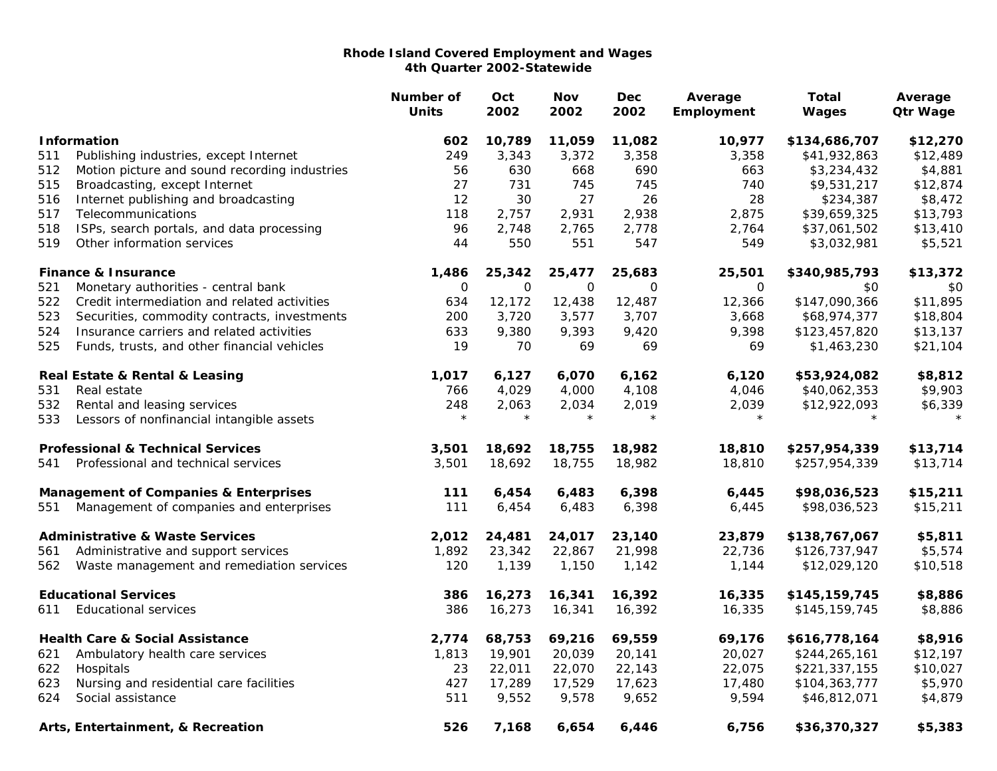|                                                  |                                               | Number of<br><b>Units</b> | Oct<br>2002 | <b>Nov</b><br>2002 | <b>Dec</b><br>2002 | Average<br>Employment | <b>Total</b><br>Wages | Average<br><b>Qtr Wage</b> |
|--------------------------------------------------|-----------------------------------------------|---------------------------|-------------|--------------------|--------------------|-----------------------|-----------------------|----------------------------|
| <b>Information</b>                               |                                               | 602                       | 10,789      | 11,059             | 11,082             | 10,977                | \$134,686,707         | \$12,270                   |
| 511                                              | Publishing industries, except Internet        | 249                       | 3,343       | 3,372              | 3,358              | 3,358                 | \$41,932,863          | \$12,489                   |
| 512                                              | Motion picture and sound recording industries | 56                        | 630         | 668                | 690                | 663                   | \$3,234,432           | \$4,881                    |
| 515                                              | Broadcasting, except Internet                 | 27                        | 731         | 745                | 745                | 740                   | \$9,531,217           | \$12,874                   |
| 516                                              | Internet publishing and broadcasting          | 12                        | 30          | 27                 | 26                 | 28                    | \$234,387             | \$8,472                    |
| 517                                              | Telecommunications                            | 118                       | 2,757       | 2,931              | 2,938              | 2,875                 | \$39,659,325          | \$13,793                   |
| 518                                              | ISPs, search portals, and data processing     | 96                        | 2,748       | 2,765              | 2,778              | 2,764                 | \$37,061,502          | \$13,410                   |
| 519                                              | Other information services                    | 44                        | 550         | 551                | 547                | 549                   | \$3,032,981           | \$5,521                    |
|                                                  | <b>Finance &amp; Insurance</b>                | 1,486                     | 25,342      | 25,477             | 25,683             | 25,501                | \$340,985,793         | \$13,372                   |
| 521                                              | Monetary authorities - central bank           | $\mathbf 0$               | $\Omega$    | $\mathbf 0$        | 0                  | 0                     | \$0                   | \$0                        |
| 522                                              | Credit intermediation and related activities  | 634                       | 12,172      | 12,438             | 12,487             | 12,366                | \$147,090,366         | \$11,895                   |
| 523                                              | Securities, commodity contracts, investments  | 200                       | 3,720       | 3,577              | 3,707              | 3,668                 | \$68,974,377          | \$18,804                   |
| 524                                              | Insurance carriers and related activities     | 633                       | 9,380       | 9,393              | 9,420              | 9,398                 | \$123,457,820         | \$13,137                   |
| 525                                              | Funds, trusts, and other financial vehicles   | 19                        | 70          | 69                 | 69                 | 69                    | \$1,463,230           | \$21,104                   |
|                                                  | Real Estate & Rental & Leasing                | 1,017                     | 6,127       | 6,070              | 6,162              | 6,120                 | \$53,924,082          | \$8,812                    |
| 531                                              | Real estate                                   | 766                       | 4,029       | 4,000              | 4,108              | 4,046                 | \$40,062,353          | \$9,903                    |
| 532                                              | Rental and leasing services                   | 248                       | 2,063       | 2,034              | 2,019              | 2,039                 | \$12,922,093          | \$6,339                    |
| 533                                              | Lessors of nonfinancial intangible assets     | $\star$                   | $\star$     | $\star$            | $\star$            | $\star$               | $\star$               | $\star$                    |
|                                                  | <b>Professional &amp; Technical Services</b>  | 3,501                     | 18,692      | 18,755             | 18,982             | 18,810                | \$257,954,339         | \$13,714                   |
| 541                                              | Professional and technical services           | 3,501                     | 18,692      | 18,755             | 18,982             | 18,810                | \$257,954,339         | \$13,714                   |
| <b>Management of Companies &amp; Enterprises</b> |                                               | 111                       | 6,454       | 6,483              | 6,398              | 6,445                 | \$98,036,523          | \$15,211                   |
| 551                                              | Management of companies and enterprises       | 111                       | 6,454       | 6,483              | 6,398              | 6,445                 | \$98,036,523          | \$15,211                   |
|                                                  | <b>Administrative &amp; Waste Services</b>    | 2,012                     | 24,481      | 24,017             | 23,140             | 23,879                | \$138,767,067         | \$5,811                    |
| 561                                              | Administrative and support services           | 1,892                     | 23,342      | 22,867             | 21,998             | 22,736                | \$126,737,947         | \$5,574                    |
| 562                                              | Waste management and remediation services     | 120                       | 1,139       | 1,150              | 1,142              | 1,144                 | \$12,029,120          | \$10,518                   |
|                                                  | <b>Educational Services</b>                   | 386                       | 16,273      | 16,341             | 16,392             | 16,335                | \$145,159,745         | \$8,886                    |
| 611                                              | <b>Educational services</b>                   | 386                       | 16,273      | 16,341             | 16,392             | 16,335                | \$145,159,745         | \$8,886                    |
|                                                  | <b>Health Care &amp; Social Assistance</b>    | 2,774                     | 68,753      | 69,216             | 69,559             | 69,176                | \$616,778,164         | \$8,916                    |
| 621                                              | Ambulatory health care services               | 1,813                     | 19,901      | 20,039             | 20,141             | 20,027                | \$244,265,161         | \$12,197                   |
| 622                                              | Hospitals                                     | 23                        | 22,011      | 22,070             | 22,143             | 22,075                | \$221,337,155         | \$10,027                   |
| 623                                              | Nursing and residential care facilities       | 427                       | 17,289      | 17,529             | 17,623             | 17,480                | \$104,363,777         | \$5,970                    |
| 624                                              | Social assistance                             | 511                       | 9,552       | 9,578              | 9,652              | 9,594                 | \$46,812,071          | \$4,879                    |
|                                                  | Arts, Entertainment, & Recreation             | 526                       | 7,168       | 6,654              | 6,446              | 6,756                 | \$36,370,327          | \$5,383                    |